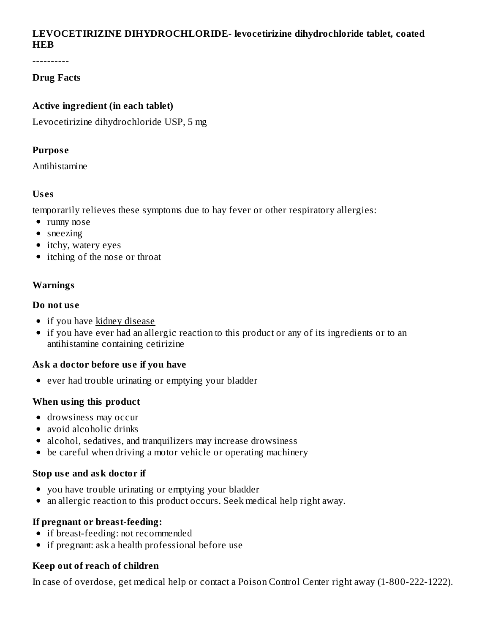# **LEVOCETIRIZINE DIHYDROCHLORIDE- levocetirizine dihydrochloride tablet, coated HEB**

----------

## **Drug Facts**

#### **Active ingredient (in each tablet)**

Levocetirizine dihydrochloride USP, 5 mg

#### **Purpos e**

Antihistamine

#### **Us es**

temporarily relieves these symptoms due to hay fever or other respiratory allergies:

- runny nose
- sneezing
- itchy, watery eyes
- itching of the nose or throat

# **Warnings**

#### **Do not us e**

- if you have kidney disease
- if you have ever had an allergic reaction to this product or any of its ingredients or to an antihistamine containing cetirizine

# **Ask a doctor before us e if you have**

• ever had trouble urinating or emptying your bladder

# **When using this product**

- drowsiness may occur
- avoid alcoholic drinks
- alcohol, sedatives, and tranquilizers may increase drowsiness
- be careful when driving a motor vehicle or operating machinery

#### **Stop us e and ask doctor if**

- you have trouble urinating or emptying your bladder
- an allergic reaction to this product occurs. Seek medical help right away.

# **If pregnant or breast-feeding:**

- if breast-feeding: not recommended
- if pregnant: ask a health professional before use

# **Keep out of reach of children**

In case of overdose, get medical help or contact a Poison Control Center right away (1-800-222-1222).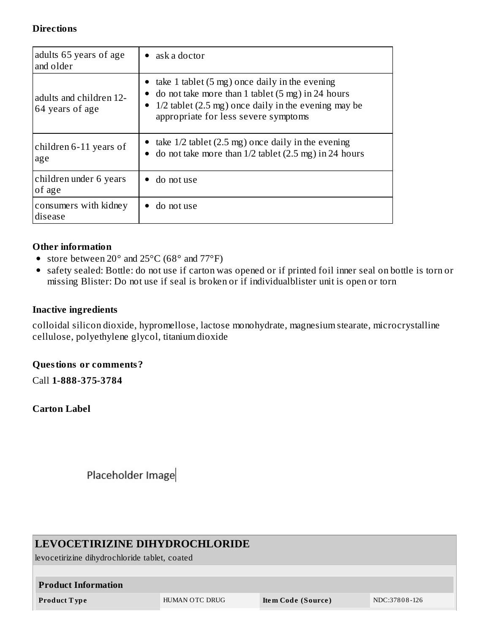#### **Directions**

| adults 65 years of age<br>and older        | ask a doctor                                                                                                                                                                                                              |  |  |
|--------------------------------------------|---------------------------------------------------------------------------------------------------------------------------------------------------------------------------------------------------------------------------|--|--|
| adults and children 12-<br>64 years of age | take 1 tablet $(5 \text{ mg})$ once daily in the evening<br>do not take more than 1 tablet $(5 \text{ mg})$ in 24 hours<br>$1/2$ tablet (2.5 mg) once daily in the evening may be<br>appropriate for less severe symptoms |  |  |
| children 6-11 years of<br>age              | • take $1/2$ tablet (2.5 mg) once daily in the evening<br>do not take more than $1/2$ tablet $(2.5 \text{ mg})$ in 24 hours                                                                                               |  |  |
| children under 6 years<br>of age           | do not use                                                                                                                                                                                                                |  |  |
| consumers with kidney<br>disease           | do not use                                                                                                                                                                                                                |  |  |

#### **Other information**

- store between 20° and 25°C (68° and 77°F)
- safety sealed: Bottle: do not use if carton was opened or if printed foil inner seal on bottle is torn or missing Blister: Do not use if seal is broken or if individualblister unit is open or torn

## **Inactive ingredients**

colloidal silicon dioxide, hypromellose, lactose monohydrate, magnesium stearate, microcrystalline cellulose, polyethylene glycol, titanium dioxide

#### **Questions or comments?**

Call **1-888-375-3784**

### **Carton Label**

Placeholder Image

| LEVOCETIRIZINE DIHYDROCHLORIDE<br>levocetirizine dihydrochloride tablet, coated |                |                    |               |  |  |  |  |  |
|---------------------------------------------------------------------------------|----------------|--------------------|---------------|--|--|--|--|--|
| <b>Product Information</b>                                                      |                |                    |               |  |  |  |  |  |
| <b>Product Type</b>                                                             | HUMAN OTC DRUG | Item Code (Source) | NDC:37808-126 |  |  |  |  |  |